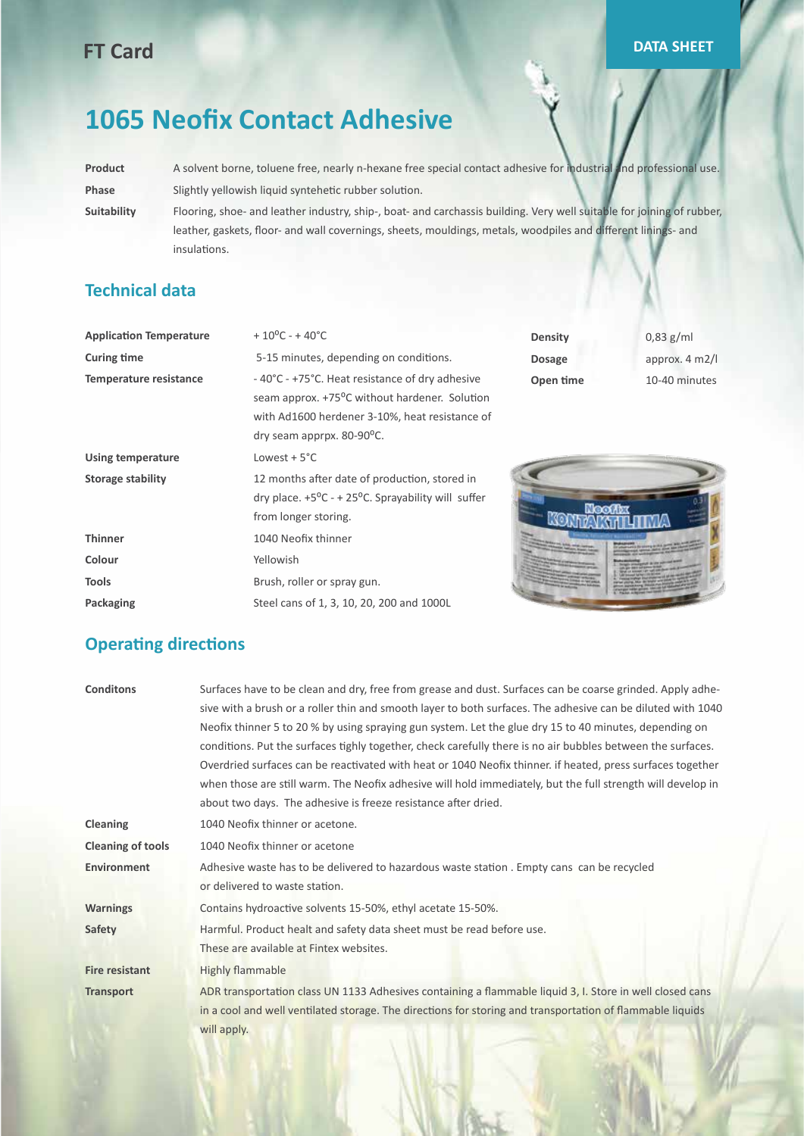## **FT Card DATA SHEET**

# **1065 Neofix Contact Adhesive**

**Product** A solvent borne, toluene free, nearly n-hexane free special contact adhesive for industrial and professional use. Phase Slightly yellowish liquid syntehetic rubber solution.

**Suitability** Flooring, shoe- and leather industry, ship-, boat- and carchassis building. Very well suitable for joining of rubber, leather, gaskets, floor- and wall covernings, sheets, mouldings, metals, woodpiles and different linings- and insulations.

#### **Technical data**

| <b>Application Temperature</b> | $+10^{\circ}$ C - +40 $^{\circ}$ C                                                                                                                                             | <b>Density</b> | $0.83$ g/ml              |
|--------------------------------|--------------------------------------------------------------------------------------------------------------------------------------------------------------------------------|----------------|--------------------------|
| <b>Curing time</b>             | 5-15 minutes, depending on conditions.                                                                                                                                         | <b>Dosage</b>  | approx. $4 \text{ m2}/1$ |
| <b>Temperature resistance</b>  | -40°C - +75°C. Heat resistance of dry adhesive<br>seam approx. +75°C without hardener. Solution<br>with Ad1600 herdener 3-10%, heat resistance of<br>dry seam apprpx. 80-90°C. | Open time      | 10-40 minutes            |
| <b>Using temperature</b>       | Lowest $+5^{\circ}$ C                                                                                                                                                          |                |                          |
| <b>Storage stability</b>       | 12 months after date of production, stored in<br>dry place. $+5^{\circ}C - + 25^{\circ}C$ . Sprayability will suffer<br>from longer storing.                                   |                |                          |
| <b>Thinner</b>                 | 1040 Neofix thinner                                                                                                                                                            |                |                          |
| Colour                         | Yellowish                                                                                                                                                                      |                |                          |
| <b>Tools</b>                   | Brush, roller or spray gun.                                                                                                                                                    |                |                          |
| Packaging                      | Steel cans of 1, 3, 10, 20, 200 and 1000L                                                                                                                                      |                |                          |

#### **Operating directions**

| <b>Conditons</b>         | Surfaces have to be clean and dry, free from grease and dust. Surfaces can be coarse grinded. Apply adhe-   |
|--------------------------|-------------------------------------------------------------------------------------------------------------|
|                          | sive with a brush or a roller thin and smooth layer to both surfaces. The adhesive can be diluted with 1040 |
|                          | Neofix thinner 5 to 20 % by using spraying gun system. Let the glue dry 15 to 40 minutes, depending on      |
|                          | conditions. Put the surfaces tighly together, check carefully there is no air bubbles between the surfaces. |
|                          | Overdried surfaces can be reactivated with heat or 1040 Neofix thinner. if heated, press surfaces together  |
|                          | when those are still warm. The Neofix adhesive will hold immediately, but the full strength will develop in |
|                          | about two days. The adhesive is freeze resistance after dried.                                              |
| Cleaning                 | 1040 Neofix thinner or acetone.                                                                             |
| <b>Cleaning of tools</b> | 1040 Neofix thinner or acetone                                                                              |
| <b>Environment</b>       | Adhesive waste has to be delivered to hazardous waste station . Empty cans can be recycled                  |
|                          | or delivered to waste station.                                                                              |
| <b>Warnings</b>          | Contains hydroactive solvents 15-50%, ethyl acetate 15-50%.                                                 |
| Safety                   | Harmful. Product healt and safety data sheet must be read before use.                                       |
|                          | These are available at Fintex websites.                                                                     |
| <b>Fire resistant</b>    | <b>Highly flammable</b>                                                                                     |
| <b>Transport</b>         | ADR transportation class UN 1133 Adhesives containing a flammable liquid 3, I. Store in well closed cans    |
|                          | in a cool and well ventilated storage. The directions for storing and transportation of flammable liquids   |
|                          | will apply.                                                                                                 |
|                          |                                                                                                             |